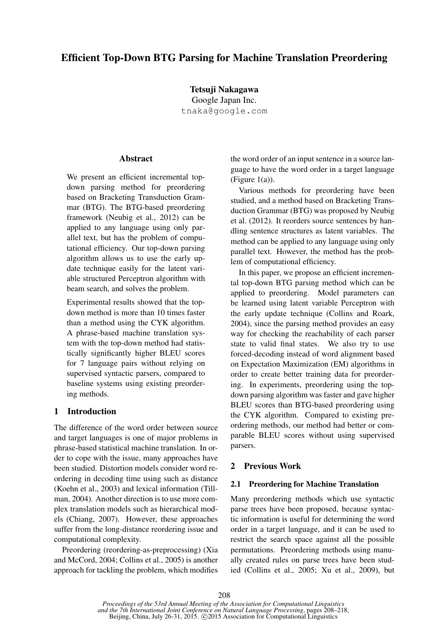# Efficient Top-Down BTG Parsing for Machine Translation Preordering

Tetsuji Nakagawa Google Japan Inc. tnaka@google.com

### **Abstract**

We present an efficient incremental topdown parsing method for preordering based on Bracketing Transduction Grammar (BTG). The BTG-based preordering framework (Neubig et al., 2012) can be applied to any language using only parallel text, but has the problem of computational efficiency. Our top-down parsing algorithm allows us to use the early update technique easily for the latent variable structured Perceptron algorithm with beam search, and solves the problem.

Experimental results showed that the topdown method is more than 10 times faster than a method using the CYK algorithm. A phrase-based machine translation system with the top-down method had statistically significantly higher BLEU scores for 7 language pairs without relying on supervised syntactic parsers, compared to baseline systems using existing preordering methods.

## 1 Introduction

The difference of the word order between source and target languages is one of major problems in phrase-based statistical machine translation. In order to cope with the issue, many approaches have been studied. Distortion models consider word reordering in decoding time using such as distance (Koehn et al., 2003) and lexical information (Tillman, 2004). Another direction is to use more complex translation models such as hierarchical models (Chiang, 2007). However, these approaches suffer from the long-distance reordering issue and computational complexity.

Preordering (reordering-as-preprocessing) (Xia and McCord, 2004; Collins et al., 2005) is another approach for tackling the problem, which modifies the word order of an input sentence in a source language to have the word order in a target language (Figure 1(a)).

Various methods for preordering have been studied, and a method based on Bracketing Transduction Grammar (BTG) was proposed by Neubig et al. (2012). It reorders source sentences by handling sentence structures as latent variables. The method can be applied to any language using only parallel text. However, the method has the problem of computational efficiency.

In this paper, we propose an efficient incremental top-down BTG parsing method which can be applied to preordering. Model parameters can be learned using latent variable Perceptron with the early update technique (Collins and Roark, 2004), since the parsing method provides an easy way for checking the reachability of each parser state to valid final states. We also try to use forced-decoding instead of word alignment based on Expectation Maximization (EM) algorithms in order to create better training data for preordering. In experiments, preordering using the topdown parsing algorithm was faster and gave higher BLEU scores than BTG-based preordering using the CYK algorithm. Compared to existing preordering methods, our method had better or comparable BLEU scores without using supervised parsers.

## 2 Previous Work

### 2.1 Preordering for Machine Translation

Many preordering methods which use syntactic parse trees have been proposed, because syntactic information is useful for determining the word order in a target language, and it can be used to restrict the search space against all the possible permutations. Preordering methods using manually created rules on parse trees have been studied (Collins et al., 2005; Xu et al., 2009), but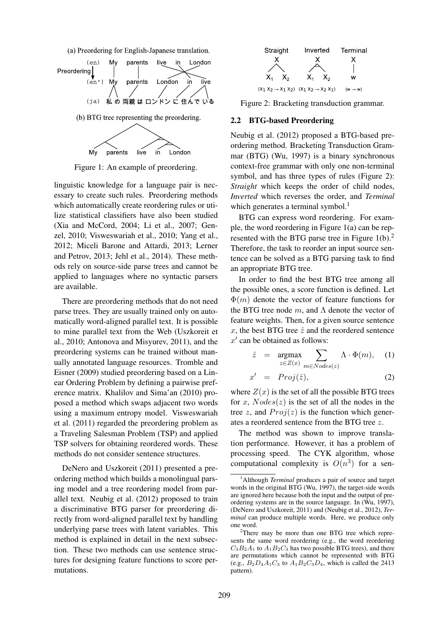(a) Preordering for English-Japanese translation.



Figure 1: An example of preordering.

linguistic knowledge for a language pair is necessary to create such rules. Preordering methods which automatically create reordering rules or utilize statistical classifiers have also been studied (Xia and McCord, 2004; Li et al., 2007; Genzel, 2010; Visweswariah et al., 2010; Yang et al., 2012; Miceli Barone and Attardi, 2013; Lerner and Petrov, 2013; Jehl et al., 2014). These methods rely on source-side parse trees and cannot be applied to languages where no syntactic parsers are available.

There are preordering methods that do not need parse trees. They are usually trained only on automatically word-aligned parallel text. It is possible to mine parallel text from the Web (Uszkoreit et al., 2010; Antonova and Misyurev, 2011), and the preordering systems can be trained without manually annotated language resources. Tromble and Eisner (2009) studied preordering based on a Linear Ordering Problem by defining a pairwise preference matrix. Khalilov and Sima'an (2010) proposed a method which swaps adjacent two words using a maximum entropy model. Visweswariah et al. (2011) regarded the preordering problem as a Traveling Salesman Problem (TSP) and applied TSP solvers for obtaining reordered words. These methods do not consider sentence structures.

DeNero and Uszkoreit (2011) presented a preordering method which builds a monolingual parsing model and a tree reordering model from parallel text. Neubig et al. (2012) proposed to train a discriminative BTG parser for preordering directly from word-aligned parallel text by handling underlying parse trees with latent variables. This method is explained in detail in the next subsection. These two methods can use sentence structures for designing feature functions to score permutations.



Figure 2: Bracketing transduction grammar.

### 2.2 BTG-based Preordering

Neubig et al. (2012) proposed a BTG-based preordering method. Bracketing Transduction Grammar (BTG) (Wu, 1997) is a binary synchronous context-free grammar with only one non-terminal symbol, and has three types of rules (Figure 2): *Straight* which keeps the order of child nodes, *Inverted* which reverses the order, and *Terminal* which generates a terminal symbol.<sup>1</sup>

BTG can express word reordering. For example, the word reordering in Figure 1(a) can be represented with the BTG parse tree in Figure  $1(b)$ .<sup>2</sup> Therefore, the task to reorder an input source sentence can be solved as a BTG parsing task to find an appropriate BTG tree.

In order to find the best BTG tree among all the possible ones, a score function is defined. Let  $\Phi(m)$  denote the vector of feature functions for the BTG tree node  $m$ , and  $\Lambda$  denote the vector of feature weights. Then, for a given source sentence x, the best BTG tree  $\hat{z}$  and the reordered sentence  $x'$  can be obtained as follows:

$$
\hat{z} = \underset{z \in Z(x)}{\operatorname{argmax}} \sum_{m \in Nodes(z)} \Lambda \cdot \Phi(m), \quad (1)
$$

$$
x' = Proj(\hat{z}), \qquad (2)
$$

where  $Z(x)$  is the set of all the possible BTG trees for x,  $Nodes(z)$  is the set of all the nodes in the tree z, and  $Proj(z)$  is the function which generates a reordered sentence from the BTG tree z.

The method was shown to improve translation performance. However, it has a problem of processing speed. The CYK algorithm, whose computational complexity is  $O(n^3)$  for a sen-

<sup>&</sup>lt;sup>1</sup>Although *Terminal* produces a pair of source and target words in the original BTG (Wu, 1997), the target-side words are ignored here because both the input and the output of preordering systems are in the source language. In (Wu, 1997), (DeNero and Uszkoreit, 2011) and (Neubig et al., 2012), *Terminal* can produce multiple words. Here, we produce only one word.

<sup>&</sup>lt;sup>2</sup>There may be more than one BTG tree which represents the same word reordering (e.g., the word reordering  $C_3B_2A_1$  to  $A_1B_2C_3$  has two possible BTG trees), and there are permutations which cannot be represented with BTG (e.g.,  $B_2D_4A_1C_3$  to  $A_1B_2C_3D_4$ , which is called the 2413 pattern).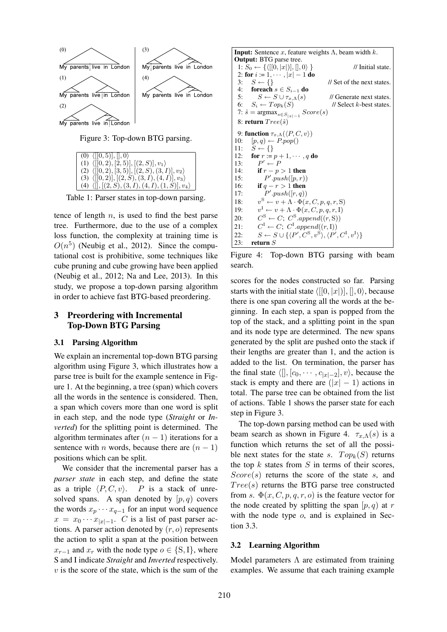

| $(0)$ $\langle [[0,5)],[,0\rangle$                             |
|----------------------------------------------------------------|
| (1) $\langle [(0,2), [2,5)], [(2, S)], v_1 \rangle$            |
| (2) $\langle [[0,2), [3,5)], [(2, S), (3, I)], v_2 \rangle$    |
| (3) $\langle [[0,2)], [[2, S), (3, I), (4, I)], v_3 \rangle$   |
| (4) $\langle [],[(2, S), (3, I), (4, I), (1, S)], v_4 \rangle$ |

Table 1: Parser states in top-down parsing.

tence of length  $n$ , is used to find the best parse tree. Furthermore, due to the use of a complex loss function, the complexity at training time is  $O(n^5)$  (Neubig et al., 2012). Since the computational cost is prohibitive, some techniques like cube pruning and cube growing have been applied (Neubig et al., 2012; Na and Lee, 2013). In this study, we propose a top-down parsing algorithm in order to achieve fast BTG-based preordering.

### 3 Preordering with Incremental Top-Down BTG Parsing

### 3.1 Parsing Algorithm

We explain an incremental top-down BTG parsing algorithm using Figure 3, which illustrates how a parse tree is built for the example sentence in Figure 1. At the beginning, a tree (span) which covers all the words in the sentence is considered. Then, a span which covers more than one word is split in each step, and the node type (*Straight* or *Inverted*) for the splitting point is determined. The algorithm terminates after  $(n - 1)$  iterations for a sentence with *n* words, because there are  $(n - 1)$ positions which can be split.

We consider that the incremental parser has a *parser state* in each step, and define the state as a triple  $\langle P, C, v \rangle$ . P is a stack of unresolved spans. A span denoted by  $[p, q)$  covers the words  $x_p \cdots x_{q-1}$  for an input word sequence  $x = x_0 \cdots x_{|x|-1}$ . *C* is a list of past parser actions. A parser action denoted by  $(r, o)$  represents the action to split a span at the position between  $x_{r-1}$  and  $x_r$  with the node type  $o \in \{S, I\}$ , where S and I indicate *Straight* and *Inverted* respectively.  $v$  is the score of the state, which is the sum of the

**Input:** Sentence  $x$ , feature weights  $\Lambda$ , beam width  $k$ . Output: BTG parse tree. 1:  $S_0 \leftarrow \{ \langle [[0, |x|)], [[, 0 \rangle] \}$  // Initial state. 2: for  $i := 1, \dots, |x| - 1$  do<br>3:  $S \leftarrow \{\}$ 3:  $S \leftarrow \{\}$  // Set of the next states. 4: foreach  $s \in S_{i-1}$  do<br>5:  $S \leftarrow S \cup \tau_{x} \Lambda(s)$  $S \leftarrow S \cup \tau_{x,\Lambda}(s)$  // Generate next states. 6:  $S_i \leftarrow Top_k(S)$  // Select k-best states. 7:  $\hat{s} = \operatorname{argmax}_{s \in S_{|x|-1}} Score(s)$ 8: return  $Tree(\hat{s})$ 9: function  $\tau_{x,\Lambda}(\langle P,C,v \rangle)$ 10:  $[p, q) \leftarrow P.pop()$ 11:  $S \leftarrow \{\}$ 12: **for**  $r := p + 1, \dots, q$  **do** 13:  $P' \leftarrow F$ 14: **if**  $r - p > 1$  then  $15:$  $\mathcal{L}.push([p,r))$ 16: if  $q - r > 1$  then  $17:$  $\ell'.push([r,q))$  $18:$  $v^{\rm S} \leftarrow v + \Lambda \cdot \Phi(x, C, p, q, r, S)$  $19:$  $v^{\text{I}} \leftarrow v + \Lambda \cdot \Phi(x, C, p, q, r, I)$  $20:$  $S \leftarrow C$ ;  $C^S.append((r, S))$  $21:$  $I \leftarrow C$ ;  $C^{\text{I}}$ .append $((r, I))$ 22:  $S \leftarrow S \cup \{ \langle P', C^{\text{S}}, v^{\text{S}} \rangle, \langle P', C^{\text{I}}, v^{\text{I}} \rangle \}$ 23: return  ${\cal S}$ 

Figure 4: Top-down BTG parsing with beam search.

scores for the nodes constructed so far. Parsing starts with the initial state  $\langle [[0, |x|)], [[, 0 \rangle]$ , because there is one span covering all the words at the beginning. In each step, a span is popped from the top of the stack, and a splitting point in the span and its node type are determined. The new spans generated by the split are pushed onto the stack if their lengths are greater than 1, and the action is added to the list. On termination, the parser has the final state  $\langle [],[c_0, \cdots, c_{|x|-2}], v \rangle$ , because the stack is empty and there are  $(|x| - 1)$  actions in total. The parse tree can be obtained from the list of actions. Table 1 shows the parser state for each step in Figure 3.

The top-down parsing method can be used with beam search as shown in Figure 4.  $\tau_{x,\Lambda}(s)$  is a function which returns the set of all the possible next states for the state s.  $Top_k(S)$  returns the top  $k$  states from  $S$  in terms of their scores,  $Score(s)$  returns the score of the state s, and  $Tree(s)$  returns the BTG parse tree constructed from s.  $\Phi(x, C, p, q, r, o)$  is the feature vector for the node created by splitting the span  $[p, q)$  at r with the node type  $o$ , and is explained in Section 3.3.

### 3.2 Learning Algorithm

Model parameters  $\Lambda$  are estimated from training examples. We assume that each training example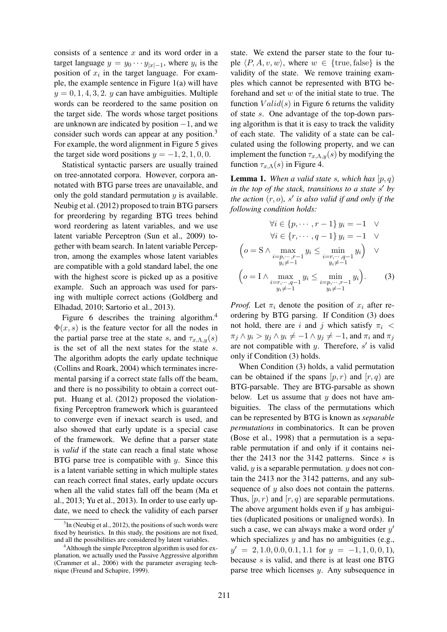consists of a sentence  $x$  and its word order in a target language  $y = y_0 \cdots y_{|x|-1}$ , where  $y_i$  is the position of  $x_i$  in the target language. For example, the example sentence in Figure 1(a) will have  $y = 0, 1, 4, 3, 2$ . y can have ambiguities. Multiple words can be reordered to the same position on the target side. The words whose target positions are unknown are indicated by position −1, and we consider such words can appear at any position.<sup>3</sup> For example, the word alignment in Figure 5 gives the target side word positions  $y = -1, 2, 1, 0, 0$ .

Statistical syntactic parsers are usually trained on tree-annotated corpora. However, corpora annotated with BTG parse trees are unavailable, and only the gold standard permutation  $y$  is available. Neubig et al. (2012) proposed to train BTG parsers for preordering by regarding BTG trees behind word reordering as latent variables, and we use latent variable Perceptron (Sun et al., 2009) together with beam search. In latent variable Perceptron, among the examples whose latent variables are compatible with a gold standard label, the one with the highest score is picked up as a positive example. Such an approach was used for parsing with multiple correct actions (Goldberg and Elhadad, 2010; Sartorio et al., 2013).

Figure 6 describes the training algorithm.<sup>4</sup>  $\Phi(x, s)$  is the feature vector for all the nodes in the partial parse tree at the state s, and  $\tau_{x,\Lambda,y}(s)$ is the set of all the next states for the state s. The algorithm adopts the early update technique (Collins and Roark, 2004) which terminates incremental parsing if a correct state falls off the beam, and there is no possibility to obtain a correct output. Huang et al. (2012) proposed the violationfixing Perceptron framework which is guaranteed to converge even if inexact search is used, and also showed that early update is a special case of the framework. We define that a parser state is *valid* if the state can reach a final state whose BTG parse tree is compatible with  $y$ . Since this is a latent variable setting in which multiple states can reach correct final states, early update occurs when all the valid states fall off the beam (Ma et al., 2013; Yu et al., 2013). In order to use early update, we need to check the validity of each parser state. We extend the parser state to the four tuple  $\langle P, A, v, w \rangle$ , where  $w \in \{true, false\}$  is the validity of the state. We remove training examples which cannot be represented with BTG beforehand and set  $w$  of the initial state to true. The function  $Valid(s)$  in Figure 6 returns the validity of state s. One advantage of the top-down parsing algorithm is that it is easy to track the validity of each state. The validity of a state can be calculated using the following property, and we can implement the function  $\tau_{x,\Lambda,y}(s)$  by modifying the function  $\tau_{x,\Lambda}(s)$  in Figure 4.

**Lemma 1.** When a valid state s, which has  $[p, q)$ *in the top of the stack, transitions to a state* s ′ *by the action*  $(r, o)$ *, s' is also valid if and only if the following condition holds:*

$$
\forall i \in \{p, \dots, r-1\} \ y_i = -1 \quad \lor
$$

$$
\forall i \in \{r, \dots, q-1\} \ y_i = -1 \quad \lor
$$

$$
\left(o = S \land \max_{\substack{i=p, \dots, r-1 \\ y_i \neq -1}} y_i \le \min_{\substack{i=r, \dots, q-1 \\ y_i \neq -1}} y_i \right) \quad \lor
$$

$$
\left(o = I \land \max_{\substack{i=r, \dots, q-1 \\ y_i \neq -1}} y_i \le \min_{\substack{i=p, \dots, r-1 \\ y_i \neq -1}} y_i \right). \tag{3}
$$

*Proof.* Let  $\pi_i$  denote the position of  $x_i$  after reordering by BTG parsing. If Condition (3) does not hold, there are i and j which satisfy  $\pi_i$  <  $\pi_i \wedge y_i > y_j \wedge y_i \neq -1 \wedge y_j \neq -1$ , and  $\pi_i$  and  $\pi_j$ are not compatible with  $y$ . Therefore,  $s'$  is valid only if Condition (3) holds.

When Condition (3) holds, a valid permutation can be obtained if the spans  $[p, r]$  and  $[r, q]$  are BTG-parsable. They are BTG-parsable as shown below. Let us assume that  $y$  does not have ambiguities. The class of the permutations which can be represented by BTG is known as *separable permutations* in combinatorics. It can be proven (Bose et al., 1998) that a permutation is a separable permutation if and only if it contains neither the 2413 nor the 3142 patterns. Since  $s$  is valid,  $y$  is a separable permutation.  $y$  does not contain the 2413 nor the 3142 patterns, and any subsequence of y also does not contain the patterns. Thus,  $[p, r]$  and  $[r, q]$  are separable permutations. The above argument holds even if  $y$  has ambiguities (duplicated positions or unaligned words). In such a case, we can always make a word order  $y'$ which specializes  $y$  and has no ambiguities (e.g.,  $y' = 2, 1.0, 0.0, 0.1, 1.1$  for  $y = -1, 1, 0, 0, 1$ , because s is valid, and there is at least one BTG parse tree which licenses y. Any subsequence in

 $3$ In (Neubig et al., 2012), the positions of such words were fixed by heuristics. In this study, the positions are not fixed, and all the possibilities are considered by latent variables.

<sup>&</sup>lt;sup>4</sup>Although the simple Perceptron algorithm is used for explanation, we actually used the Passive Aggressive algorithm (Crammer et al., 2006) with the parameter averaging technique (Freund and Schapire, 1999).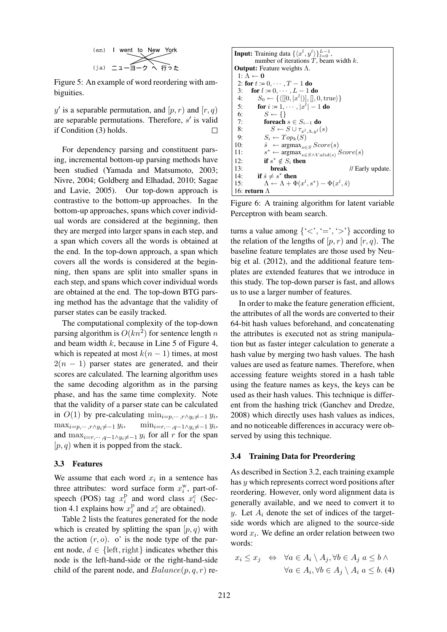(en) I went to New York

\n(ja) 
$$
\square
$$
  $\square$   $\square$   $\square$   $\square$   $\square$   $\square$   $\square$   $\square$   $\square$   $\square$   $\square$   $\square$   $\square$   $\square$   $\square$   $\square$   $\square$   $\square$   $\square$   $\square$   $\square$   $\square$   $\square$   $\square$   $\square$   $\square$   $\square$   $\square$   $\square$   $\square$   $\square$   $\square$   $\square$   $\square$   $\square$   $\square$   $\square$   $\square$   $\square$   $\square$   $\square$   $\square$   $\square$   $\square$   $\square$   $\square$   $\square$   $\square$   $\square$   $\square$   $\square$   $\square$   $\square$   $\square$   $\square$   $\square$   $\square$   $\square$   $\square$   $\square$   $\square$   $\square$   $\square$   $\square$   $\square$   $\square$   $\square$   $\square$   $\square$   $\square$   $\square$   $\square$   $\square$   $\square$ 

Figure 5: An example of word reordering with ambiguities.

y' is a separable permutation, and  $[p, r)$  and  $[r, q)$ are separable permutations. Therefore,  $s'$  is valid if Condition (3) holds.

For dependency parsing and constituent parsing, incremental bottom-up parsing methods have been studied (Yamada and Matsumoto, 2003; Nivre, 2004; Goldberg and Elhadad, 2010; Sagae and Lavie, 2005). Our top-down approach is contrastive to the bottom-up approaches. In the bottom-up approaches, spans which cover individual words are considered at the beginning, then they are merged into larger spans in each step, and a span which covers all the words is obtained at the end. In the top-down approach, a span which covers all the words is considered at the beginning, then spans are split into smaller spans in each step, and spans which cover individual words are obtained at the end. The top-down BTG parsing method has the advantage that the validity of parser states can be easily tracked.

The computational complexity of the top-down parsing algorithm is  $O(kn^2)$  for sentence length n and beam width  $k$ , because in Line 5 of Figure 4, which is repeated at most  $k(n - 1)$  times, at most  $2(n - 1)$  parser states are generated, and their scores are calculated. The learning algorithm uses the same decoding algorithm as in the parsing phase, and has the same time complexity. Note that the validity of a parser state can be calculated in  $O(1)$  by pre-calculating  $\min_{i=p,\dots, r\wedge y_i\neq -1} y_i$ ,  $\max_{i=p,\dots,r\wedge y_i\neq -1} y_i,$  $, \quad \min_{i=r,\cdots,q-1} \lambda y_i \neq -1 \ y_i,$ and  $\max_{i=r,\dots,q-1\wedge y_i\neq -1} y_i$  for all r for the span  $[p, q)$  when it is popped from the stack.

### 3.3 Features

We assume that each word  $x_i$  in a sentence has three attributes: word surface form  $x_i^w$ , part-ofspeech (POS) tag  $x_i^{\text{p}}$  $\sum_i^{\text{p}}$  and word class  $x_i^{\text{c}}$  (Section 4.1 explains how  $x_i^{\mathrm{p}}$  $i$ <sup>p</sup> and  $x_i$ <sup>c</sup> are obtained).

Table 2 lists the features generated for the node which is created by splitting the span  $[p, q)$  with the action  $(r, o)$ . o' is the node type of the parent node,  $d \in \{left, right\}$  indicates whether this node is the left-hand-side or the right-hand-side child of the parent node, and  $Balance(p, q, r)$  re-

**Input:** Training data 
$$
\{\langle x^l, y^l\rangle\}_{l=0}^{L-1}
$$
, number of iterations  $T$ , beam width  $k$ . \n**Output:** Feature weights  $\Lambda$ . \n**Output:** Feature weights  $\Lambda$ . \n**Output:**  $\Lambda \leftarrow 0$ \n**2: for**  $t := 0, \dots, T - 1$  **do**\n**3: for**  $l := 0, \dots, L - 1$  **do**\n**4:**  $S_0 \leftarrow \{ \langle [[0, |x^l])], [0, \text{true}] \}$ \n**5: for**  $i = 1, \dots, |x^l| - 1$  **do**\n**6:**  $S \leftarrow \{\}$ \n**7: forecast**  $s \in S_{i-1}$  **do**\n**8:**  $S \leftarrow S \cup \tau_{x^l, \Lambda, y^l}(s)$ \n**9:**  $S_i \leftarrow Top_k(S)$ \n**10:**  $\hat{s} \leftarrow \text{argmax}_{s \in S} Score(s)$ \n**11:**  $s^* \leftarrow \text{argmax}_{s \in S \land Valid(s)} Score(s)$ \n**12: if**  $s^* \notin S_i$  **then**  $l$  **13: break**  $l$  **14: if**  $\hat{s} \neq s^*$  **then**\n**15:**  $\Lambda \leftarrow \Lambda + \Phi(x^l, s^*) - \Phi(x^l, \hat{s})$ \n**16: return**  $\Lambda$ 

Figure 6: A training algorithm for latent variable Perceptron with beam search.

turns a value among  $\{ \langle \langle \cdot, \cdot \rangle : \rangle \}$  according to the relation of the lengths of  $[p, r)$  and  $[r, q)$ . The baseline feature templates are those used by Neubig et al. (2012), and the additional feature templates are extended features that we introduce in this study. The top-down parser is fast, and allows us to use a larger number of features.

In order to make the feature generation efficient, the attributes of all the words are converted to their 64-bit hash values beforehand, and concatenating the attributes is executed not as string manipulation but as faster integer calculation to generate a hash value by merging two hash values. The hash values are used as feature names. Therefore, when accessing feature weights stored in a hash table using the feature names as keys, the keys can be used as their hash values. This technique is different from the hashing trick (Ganchev and Dredze, 2008) which directly uses hash values as indices, and no noticeable differences in accuracy were observed by using this technique.

#### 3.4 Training Data for Preordering

As described in Section 3.2, each training example has y which represents correct word positions after reordering. However, only word alignment data is generally available, and we need to convert it to y. Let  $A_i$  denote the set of indices of the targetside words which are aligned to the source-side word  $x_i$ . We define an order relation between two words:

$$
x_i \le x_j \Leftrightarrow \forall a \in A_i \setminus A_j, \forall b \in A_j \ a \le b \land \forall a \in A_i, \forall b \in A_j \setminus A_i \ a \le b. \ (4)
$$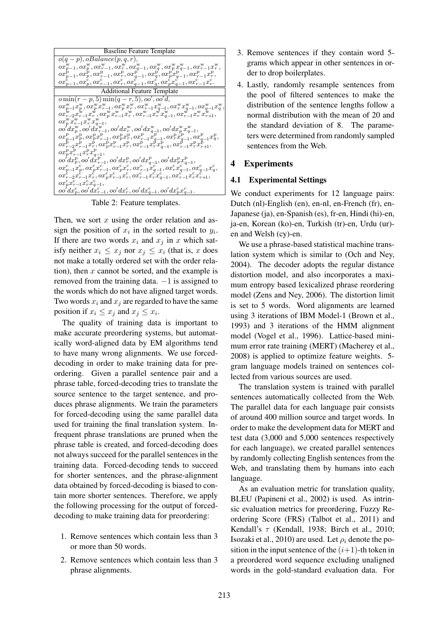```
Baseline Feature Template
o(q-p), oBalance(p, q, r),ox_{p-1}^{\mathbf{w}}, ox_{p}^{\mathbf{w}},ox_{p-1}^{\mathbf{w}},ox_{r}^{\mathbf{w}},ox_{q-1}^{\mathbf{w}},ox_{q}^{\mathbf{w}},ox_{p}^{\mathbf{w}}a_{q-1}^{\mathbf{w}},ox_{p-1}^{\mathbf{w}}a_{r-1}^{\mathbf{w}},ox_{p-1}^{\rm p}, ox_{p}^{\rm p},ox_{r-1}^{\rm p},ox_{r}^{\rm p},ox_{q-1}^{\rm p},ox_{q}^{\rm p},ox_{p}^{\rm p}x_{q-1}^{\rm p},ox_{r-1}^{\rm p}x_{r}^{\rm p},ox^{\text{c}}_{p-1}, ox^{\text{c}}_{p}, ox^{\text{c}}_{r-1}, ox^{\text{c}}_{r}, ox^{\text{d}}_{q-1},ox^{\text{c}}_{q},ox^{\text{c}}_{p}x^{\text{c}}_{q-1},ox^{\text{c}}_{r-1}x^{\text{c}}_{r}.Additional Feature Template
o \min(r-p, 5) \min(q-r, 5), oo', oo'd,ox_{p-1}^{\text{w}}x_{p}^{\text{w}}, ox_{p}^{\text{w}}x_{r-1}^{\text{w}},\overset{ox_{p}^{\text{w}}x_{r}^{\text{w}}}{\omega_{p}^{x}} ,ox_{r-1}^{\text{w}}x_{q-1}^{\text{w}}, ox_{r}^{\text{w}}x_{q-1}^{\text{w}},\overset{ox_{p-1}^{\text{w}}x_{q}^{\text{w}}}{\omega_{q}^{x}} ,ox_{r-2}^{\mathbf{w}} x_{r-1}^{\mathbf{w}} x_r^{\mathbf{w}}, ox_p^{\mathbf{w}} x_{r-1}^{\mathbf{w}} x_r^{\mathbf{w}}, ox_{r-1}^{\mathbf{w}} x_r^{\mathbf{w}} x_{q-1}^{\mathbf{w}}, ox_{r-1}^{\mathbf{w}} x_r^{\mathbf{w}} x_{r+1}^{\mathbf{w}},\alpha v_p^{\text{w}} \overline{v}_{r-1}^{\text{w}} \overline{v}_{q-1}^{\text{w}} , \ \ \alpha o' dx_{r-1}^{\text{w}}, \ \ \alpha o' dx_{r-1}^{\text{w}}, \ \ \alpha o' dx_{r-1}^{\text{w}}, \ \ \alpha o' dx_{r-1}^{\text{w}}, \ \ \alpha o' dx_{r-1}^{\text{w}}, \ \ \alpha o' dx_{r-1}^{\text{w}}, \ \ \alpha o' dx_{r-1}^{\text{w}}, \ \ \alpha o' dx_{p-1}^{\text{w}} \overline{v}_{q-1}^{\text{w}}, \ \ \alpha v_{p-1}^{\text{p}} \ox_{r-1}^{p-1}x_{r-1}^{p}x_{r}^{p},\newline ox_{p}^{p}x_{r-1}^{p-1}x_{r}^{p},\newline ox_{r-1}^{p}x_{r}^{p}a_{q-1}^{p},\newline ox_{r-1}^{p}x_{r}^{p}x_{r+1}^{p},\newlineox_P^{\rm p} x_{r-1}^{\rm p} x_{r}^{\rm p} x_{q-1}^{\rm p}\delta \rho' dx_p^{\mathrm{p}}, \delta \rho' dx_{r-1}^{\mathrm{p}}, \delta \rho' dx_r^{\mathrm{p}}, \delta \rho' dx_{q-1}^{\mathrm{p}}, \delta \rho' dx_{p}^{\mathrm{p}} x_{q-1}^{\mathrm{p}},ox^c_{p-1}x^c_p, \no{x^c_{p}}x^c_{r-1}, \no{x^c_{p}}x^c_r, \no{x^c_{r-1}}x^c_{q-1}, \no{x^c_{r}}x^c_{q-1}, \no{x^c_{q-1}}x^c_q,\alpha x_{r-1}^{\epsilon}x_{r-1}^{\epsilon}x_{r}^{\epsilon}, \alpha x_{p}^{\epsilon}x_{r-1}^{\epsilon}x_{r}^{\epsilon}, \alpha x_{r-1}^{\epsilon}x_{r}^{\epsilon}x_{q-1}^{\epsilon}, \alpha x_{r-1}^{\epsilon}x_{r}^{\epsilon}x_{r+1}^{\epsilon}, \ \alpha x_{r-1}^{\epsilon}x_{r+1}^{\epsilon},ox_p^c x_{r-1}^c x_{r}^c x_{q-1}^c\delta o' dx_p^{\rm c}, o o' dx_{r-1}^{\rm c}, o o' dx_r^{\rm c}, o o' dx_{q-1}^{\rm c}, o o' dx_p^{\rm c} x_{q-1}^{\rm c}.
```
Table 2: Feature templates.

Then, we sort  $x$  using the order relation and assign the position of  $x_i$  in the sorted result to  $y_i$ . If there are two words  $x_i$  and  $x_j$  in x which satisfy neither  $x_i \leq x_j$  nor  $x_j \leq x_i$  (that is, x does not make a totally ordered set with the order relation), then  $x$  cannot be sorted, and the example is removed from the training data.  $-1$  is assigned to the words which do not have aligned target words. Two words  $x_i$  and  $x_j$  are regarded to have the same position if  $x_i \leq x_j$  and  $x_j \leq x_i$ .

The quality of training data is important to make accurate preordering systems, but automatically word-aligned data by EM algorithms tend to have many wrong alignments. We use forceddecoding in order to make training data for preordering. Given a parallel sentence pair and a phrase table, forced-decoding tries to translate the source sentence to the target sentence, and produces phrase alignments. We train the parameters for forced-decoding using the same parallel data used for training the final translation system. Infrequent phrase translations are pruned when the phrase table is created, and forced-decoding does not always succeed for the parallel sentences in the training data. Forced-decoding tends to succeed for shorter sentences, and the phrase-alignment data obtained by forced-decoding is biased to contain more shorter sentences. Therefore, we apply the following processing for the output of forceddecoding to make training data for preordering:

- 1. Remove sentences which contain less than 3 or more than 50 words.
- 2. Remove sentences which contain less than 3 phrase alignments.
- 3. Remove sentences if they contain word 5 grams which appear in other sentences in order to drop boilerplates.
- 4. Lastly, randomly resample sentences from the pool of filtered sentences to make the distribution of the sentence lengths follow a normal distribution with the mean of 20 and the standard deviation of 8. The parameters were determined from randomly sampled sentences from the Web.

## 4 Experiments

### 4.1 Experimental Settings

We conduct experiments for 12 language pairs: Dutch (nl)-English (en), en-nl, en-French (fr), en-Japanese (ja), en-Spanish (es), fr-en, Hindi (hi)-en, ja-en, Korean (ko)-en, Turkish (tr)-en, Urdu (ur) en and Welsh (cy)-en.

We use a phrase-based statistical machine translation system which is similar to (Och and Ney, 2004). The decoder adopts the regular distance distortion model, and also incorporates a maximum entropy based lexicalized phrase reordering model (Zens and Ney, 2006). The distortion limit is set to 5 words. Word alignments are learned using 3 iterations of IBM Model-1 (Brown et al., 1993) and 3 iterations of the HMM alignment model (Vogel et al., 1996). Lattice-based minimum error rate training (MERT) (Macherey et al., 2008) is applied to optimize feature weights. 5 gram language models trained on sentences collected from various sources are used.

The translation system is trained with parallel sentences automatically collected from the Web. The parallel data for each language pair consists of around 400 million source and target words. In order to make the development data for MERT and test data (3,000 and 5,000 sentences respectively for each language), we created parallel sentences by randomly collecting English sentences from the Web, and translating them by humans into each language.

As an evaluation metric for translation quality, BLEU (Papineni et al., 2002) is used. As intrinsic evaluation metrics for preordering, Fuzzy Reordering Score (FRS) (Talbot et al., 2011) and Kendall's  $\tau$  (Kendall, 1938; Birch et al., 2010; Isozaki et al., 2010) are used. Let  $\rho_i$  denote the position in the input sentence of the  $(i+1)$ -th token in a preordered word sequence excluding unaligned words in the gold-standard evaluation data. For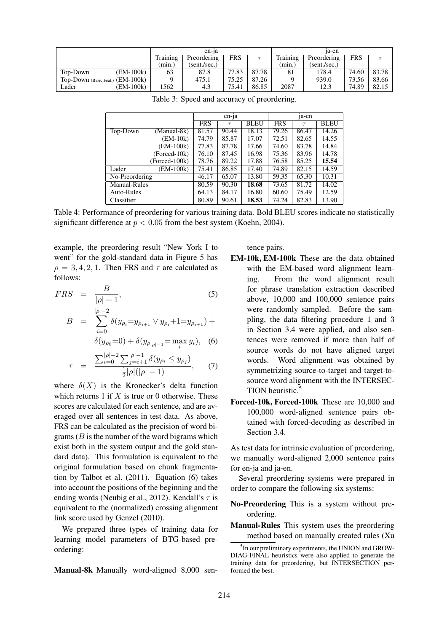|                                  |          | en-ia        |       |       | 1a-en    |              |            |       |
|----------------------------------|----------|--------------|-------|-------|----------|--------------|------------|-------|
|                                  | Training | Preordering  | FRS   |       | Training | Preordering  | <b>FRS</b> |       |
|                                  | (min.)   | (sent./sec.) |       |       | (mın.)   | (sent./sec.) |            |       |
| (EM-100k)<br>Top-Down            | 63       | 87.8         | 77.83 | 87.78 | 81       | 178.4        | 74.60      | 83.78 |
| Top-Down (Basic Feat.) (EM-100k) |          | 475.1        | 75.25 | 87.26 |          | 939.0        | 73.56      | 83.66 |
| (EM-100k)<br>Lader               | 1562     | 4.3          | 75.41 | 86.85 | 2087     | 12.3         | 74.89      | 82.15 |

|                     |               | en-ja      |        |             | <sub>1</sub> a-en |        |             |
|---------------------|---------------|------------|--------|-------------|-------------------|--------|-------------|
|                     |               | <b>FRS</b> | $\tau$ | <b>BLEU</b> | <b>FRS</b>        | $\tau$ | <b>BLEU</b> |
| Top-Down            | (Manual-8k)   | 81.57      | 90.44  | 18.13       | 79.26             | 86.47  | 14.26       |
|                     | $(EM-10k)$    | 74.79      | 85.87  | 17.07       | 72.51             | 82.65  | 14.55       |
|                     | $(EM-100k)$   | 77.83      | 87.78  | 17.66       | 74.60             | 83.78  | 14.84       |
|                     | (Forced-10k)  | 76.10      | 87.45  | 16.98       | 75.36             | 83.96  | 14.78       |
|                     | (Forced-100k) | 78.76      | 89.22  | 17.88       | 76.58             | 85.25  | 15.54       |
| Lader               | (EM-100k)     | 75.41      | 86.85  | 17.40       | 74.89             | 82.15  | 14.59       |
| No-Preordering      |               | 46.17      | 65.07  | 13.80       | 59.35             | 65.30  | 10.31       |
| <b>Manual-Rules</b> |               | 80.59      | 90.30  | 18.68       | 73.65             | 81.72  | 14.02       |
| Auto-Rules          |               | 64.13      | 84.17  | 16.80       | 60.60             | 75.49  | 12.59       |
| Classifier          |               | 80.89      | 90.61  | 18.53       | 74.24             | 82.83  | 13.90       |

Table 3: Speed and accuracy of preordering.

Table 4: Performance of preordering for various training data. Bold BLEU scores indicate no statistically significant difference at  $p < 0.05$  from the best system (Koehn, 2004).

example, the preordering result "New York I to went" for the gold-standard data in Figure 5 has  $\rho = 3, 4, 2, 1$ . Then FRS and  $\tau$  are calculated as follows:

$$
FRS = \frac{B}{|\rho| + 1},
$$
\n
$$
B = \sum_{i=0}^{|\rho| - 2} \delta(y_{\rho_i} = y_{\rho_{i+1}} \vee y_{\rho_i} + 1 = y_{\rho_{i+1}}) +
$$
\n(5)

$$
\delta(y_{\rho_0}=0) + \delta(y_{\rho_{|\rho|-1}} = \max_i y_i), \quad (6)
$$

$$
\tau = \frac{\sum_{i=0}^{|\rho|-2} \sum_{j=i+1}^{|\rho|-1} \delta(y_{\rho_i} \le y_{\rho_j})}{\frac{1}{2} |\rho|(|\rho|-1)}, \quad (7)
$$

where  $\delta(X)$  is the Kronecker's delta function which returns 1 if  $X$  is true or 0 otherwise. These scores are calculated for each sentence, and are averaged over all sentences in test data. As above, FRS can be calculated as the precision of word bigrams  $(B$  is the number of the word bigrams which exist both in the system output and the gold standard data). This formulation is equivalent to the original formulation based on chunk fragmentation by Talbot et al. (2011). Equation (6) takes into account the positions of the beginning and the ending words (Neubig et al., 2012). Kendall's  $\tau$  is equivalent to the (normalized) crossing alignment link score used by Genzel (2010).

We prepared three types of training data for learning model parameters of BTG-based preordering:

Manual-8k Manually word-aligned 8,000 sen-

tence pairs.

- EM-10k, EM-100k These are the data obtained with the EM-based word alignment learning. From the word alignment result for phrase translation extraction described above, 10,000 and 100,000 sentence pairs were randomly sampled. Before the sampling, the data filtering procedure 1 and 3 in Section 3.4 were applied, and also sentences were removed if more than half of source words do not have aligned target words. Word alignment was obtained by symmetrizing source-to-target and target-tosource word alignment with the INTERSEC-TION heuristic.<sup>5</sup>
- Forced-10k, Forced-100k These are 10,000 and 100,000 word-aligned sentence pairs obtained with forced-decoding as described in Section 3.4.

As test data for intrinsic evaluation of preordering, we manually word-aligned 2,000 sentence pairs for en-ja and ja-en.

Several preordering systems were prepared in order to compare the following six systems:

No-Preordering This is a system without preordering.

Manual-Rules This system uses the preordering method based on manually created rules (Xu

<sup>&</sup>lt;sup>5</sup>In our preliminary experiments, the UNION and GROW-DIAG-FINAL heuristics were also applied to generate the training data for preordering, but INTERSECTION performed the best.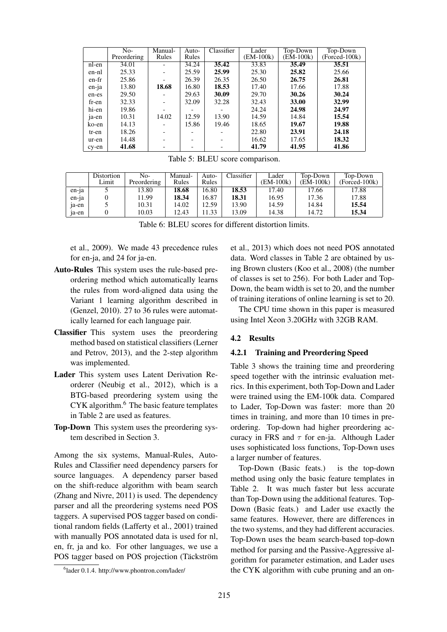|       | No-         | Manual- | Auto-                    | Classifier | Lader     | Top-Down  | Top-Down       |
|-------|-------------|---------|--------------------------|------------|-----------|-----------|----------------|
|       | Preordering | Rules   | Rules                    |            | (EM-100k) | (EM-100k) | $(Fored-100k)$ |
| nl-en | 34.01       |         | 34.24                    | 35.42      | 33.83     | 35.49     | 35.51          |
| en-nl | 25.33       |         | 25.59                    | 25.99      | 25.30     | 25.82     | 25.66          |
| en-fr | 25.86       |         | 26.39                    | 26.35      | 26.50     | 26.75     | 26.81          |
| en-ja | 13.80       | 18.68   | 16.80                    | 18.53      | 17.40     | 17.66     | 17.88          |
| en-es | 29.50       |         | 29.63                    | 30.09      | 29.70     | 30.26     | 30.24          |
| fr-en | 32.33       |         | 32.09                    | 32.28      | 32.43     | 33.00     | 32.99          |
| hi-en | 19.86       |         |                          |            | 24.24     | 24.98     | 24.97          |
| ja-en | 10.31       | 14.02   | 12.59                    | 13.90      | 14.59     | 14.84     | 15.54          |
| ko-en | 14.13       |         | 15.86                    | 19.46      | 18.65     | 19.67     | 19.88          |
| tr-en | 18.26       |         |                          |            | 22.80     | 23.91     | 24.18          |
| ur-en | 14.48       |         | $\overline{\phantom{0}}$ |            | 16.62     | 17.65     | 18.32          |
| cy-en | 41.68       |         |                          |            | 41.79     | 41.95     | 41.86          |

Table 5: BLEU score comparison.

|       | Distortion | No-         | Manual- | Auto- | Classifier | Lader     | Top-Down  | Top-Down       |
|-------|------------|-------------|---------|-------|------------|-----------|-----------|----------------|
|       | Limit      | Preordering | Rules   | Rules |            | (EM-100k) | (EM-100k) | $(Fored-100k)$ |
| en-ja |            | 13.80       | 18.68   | 16.80 | 18.53      | 17.40     | 17.66     | 17.88          |
| en-ja |            | 1.99        | 18.34   | 16.87 | 18.31      | 16.95     | 17.36     | 17.88          |
| 1a-en |            | 10.31       | 14.02   | 12.59 | 13.90      | 14.59     | 14.84     | 15.54          |
| 1a-en |            | 10.03       | 12.43   | 1.33  | 13.09      | 14.38     | 14.72     | 15.34          |

Table 6: BLEU scores for different distortion limits.

et al., 2009). We made 43 precedence rules for en-ja, and 24 for ja-en.

- Auto-Rules This system uses the rule-based preordering method which automatically learns the rules from word-aligned data using the Variant 1 learning algorithm described in (Genzel, 2010). 27 to 36 rules were automatically learned for each language pair.
- Classifier This system uses the preordering method based on statistical classifiers (Lerner and Petrov, 2013), and the 2-step algorithm was implemented.
- Lader This system uses Latent Derivation Reorderer (Neubig et al., 2012), which is a BTG-based preordering system using the CYK algorithm.<sup>6</sup> The basic feature templates in Table 2 are used as features.
- Top-Down This system uses the preordering system described in Section 3.

Among the six systems, Manual-Rules, Auto-Rules and Classifier need dependency parsers for source languages. A dependency parser based on the shift-reduce algorithm with beam search (Zhang and Nivre, 2011) is used. The dependency parser and all the preordering systems need POS taggers. A supervised POS tagger based on conditional random fields (Lafferty et al., 2001) trained with manually POS annotated data is used for nl, en, fr, ja and ko. For other languages, we use a POS tagger based on POS projection (Täckström et al., 2013) which does not need POS annotated data. Word classes in Table 2 are obtained by using Brown clusters (Koo et al., 2008) (the number of classes is set to 256). For both Lader and Top-Down, the beam width is set to 20, and the number of training iterations of online learning is set to 20.

The CPU time shown in this paper is measured using Intel Xeon 3.20GHz with 32GB RAM.

### 4.2 Results

### 4.2.1 Training and Preordering Speed

Table 3 shows the training time and preordering speed together with the intrinsic evaluation metrics. In this experiment, both Top-Down and Lader were trained using the EM-100k data. Compared to Lader, Top-Down was faster: more than 20 times in training, and more than 10 times in preordering. Top-down had higher preordering accuracy in FRS and  $\tau$  for en-ja. Although Lader uses sophisticated loss functions, Top-Down uses a larger number of features.

Top-Down (Basic feats.) is the top-down method using only the basic feature templates in Table 2. It was much faster but less accurate than Top-Down using the additional features. Top-Down (Basic feats.) and Lader use exactly the same features. However, there are differences in the two systems, and they had different accuracies. Top-Down uses the beam search-based top-down method for parsing and the Passive-Aggressive algorithm for parameter estimation, and Lader uses the CYK algorithm with cube pruning and an on-

<sup>6</sup> lader 0.1.4. http://www.phontron.com/lader/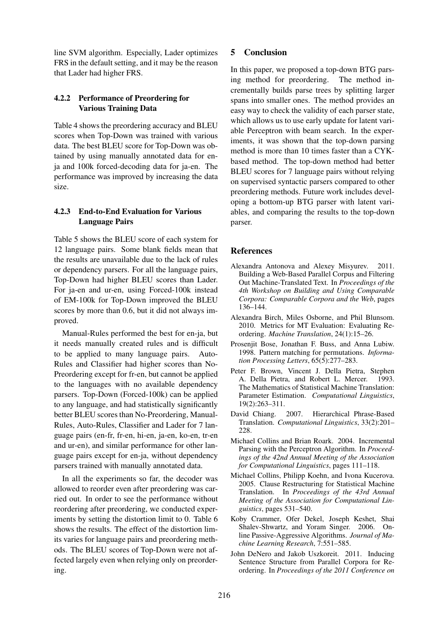line SVM algorithm. Especially, Lader optimizes FRS in the default setting, and it may be the reason that Lader had higher FRS.

## 4.2.2 Performance of Preordering for Various Training Data

Table 4 shows the preordering accuracy and BLEU scores when Top-Down was trained with various data. The best BLEU score for Top-Down was obtained by using manually annotated data for enja and 100k forced-decoding data for ja-en. The performance was improved by increasing the data size.

## 4.2.3 End-to-End Evaluation for Various Language Pairs

Table 5 shows the BLEU score of each system for 12 language pairs. Some blank fields mean that the results are unavailable due to the lack of rules or dependency parsers. For all the language pairs, Top-Down had higher BLEU scores than Lader. For ja-en and ur-en, using Forced-100k instead of EM-100k for Top-Down improved the BLEU scores by more than 0.6, but it did not always improved.

Manual-Rules performed the best for en-ja, but it needs manually created rules and is difficult to be applied to many language pairs. Auto-Rules and Classifier had higher scores than No-Preordering except for fr-en, but cannot be applied to the languages with no available dependency parsers. Top-Down (Forced-100k) can be applied to any language, and had statistically significantly better BLEU scores than No-Preordering, Manual-Rules, Auto-Rules, Classifier and Lader for 7 language pairs (en-fr, fr-en, hi-en, ja-en, ko-en, tr-en and ur-en), and similar performance for other language pairs except for en-ja, without dependency parsers trained with manually annotated data.

In all the experiments so far, the decoder was allowed to reorder even after preordering was carried out. In order to see the performance without reordering after preordering, we conducted experiments by setting the distortion limit to 0. Table 6 shows the results. The effect of the distortion limits varies for language pairs and preordering methods. The BLEU scores of Top-Down were not affected largely even when relying only on preordering.

## 5 Conclusion

In this paper, we proposed a top-down BTG parsing method for preordering. The method incrementally builds parse trees by splitting larger spans into smaller ones. The method provides an easy way to check the validity of each parser state, which allows us to use early update for latent variable Perceptron with beam search. In the experiments, it was shown that the top-down parsing method is more than 10 times faster than a CYKbased method. The top-down method had better BLEU scores for 7 language pairs without relying on supervised syntactic parsers compared to other preordering methods. Future work includes developing a bottom-up BTG parser with latent variables, and comparing the results to the top-down parser.

## **References**

- Alexandra Antonova and Alexey Misyurev. 2011. Building a Web-Based Parallel Corpus and Filtering Out Machine-Translated Text. In *Proceedings of the 4th Workshop on Building and Using Comparable Corpora: Comparable Corpora and the Web*, pages 136–144.
- Alexandra Birch, Miles Osborne, and Phil Blunsom. 2010. Metrics for MT Evaluation: Evaluating Reordering. *Machine Translation*, 24(1):15–26.
- Prosenjit Bose, Jonathan F. Buss, and Anna Lubiw. 1998. Pattern matching for permutations. *Information Processing Letters*, 65(5):277–283.
- Peter F. Brown, Vincent J. Della Pietra, Stephen A. Della Pietra, and Robert L. Mercer. 1993. The Mathematics of Statistical Machine Translation: Parameter Estimation. *Computational Linguistics*, 19(2):263–311.
- David Chiang. 2007. Hierarchical Phrase-Based Translation. *Computational Linguistics*, 33(2):201– 228
- Michael Collins and Brian Roark. 2004. Incremental Parsing with the Perceptron Algorithm. In *Proceedings of the 42nd Annual Meeting of the Association for Computational Linguistics*, pages 111–118.
- Michael Collins, Philipp Koehn, and Ivona Kucerova. 2005. Clause Restructuring for Statistical Machine Translation. In *Proceedings of the 43rd Annual Meeting of the Association for Computational Linguistics*, pages 531–540.
- Koby Crammer, Ofer Dekel, Joseph Keshet, Shai Shalev-Shwartz, and Yoram Singer. 2006. Online Passive-Aggressive Algorithms. *Journal of Machine Learning Research*, 7:551–585.
- John DeNero and Jakob Uszkoreit. 2011. Inducing Sentence Structure from Parallel Corpora for Reordering. In *Proceedings of the 2011 Conference on*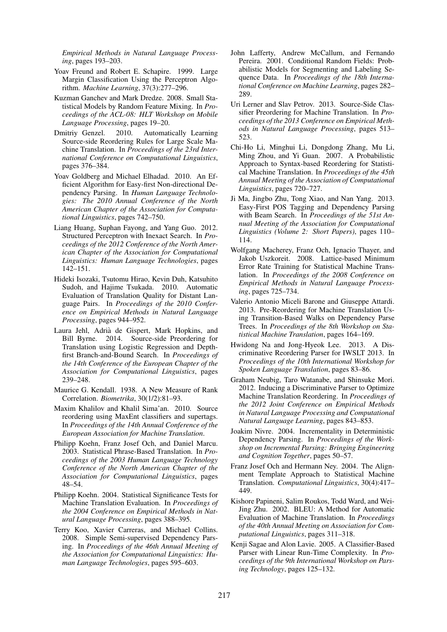*Empirical Methods in Natural Language Processing*, pages 193–203.

- Yoav Freund and Robert E. Schapire. 1999. Large Margin Classification Using the Perceptron Algorithm. *Machine Learning*, 37(3):277–296.
- Kuzman Ganchev and Mark Dredze. 2008. Small Statistical Models by Random Feature Mixing. In *Proceedings of the ACL-08: HLT Workshop on Mobile Language Processing*, pages 19–20.
- Dmitriy Genzel. 2010. Automatically Learning Source-side Reordering Rules for Large Scale Machine Translation. In *Proceedings of the 23rd International Conference on Computational Linguistics*, pages 376–384.
- Yoav Goldberg and Michael Elhadad. 2010. An Efficient Algorithm for Easy-first Non-directional Dependency Parsing. In *Human Language Technologies: The 2010 Annual Conference of the North American Chapter of the Association for Computational Linguistics*, pages 742–750.
- Liang Huang, Suphan Fayong, and Yang Guo. 2012. Structured Perceptron with Inexact Search. In *Proceedings of the 2012 Conference of the North American Chapter of the Association for Computational Linguistics: Human Language Technologies*, pages 142–151.
- Hideki Isozaki, Tsutomu Hirao, Kevin Duh, Katsuhito Sudoh, and Hajime Tsukada. 2010. Automatic Evaluation of Translation Quality for Distant Language Pairs. In *Proceedings of the 2010 Conference on Empirical Methods in Natural Language Processing*, pages 944–952.
- Laura Jehl, Adria de Gispert, Mark Hopkins, and ` Bill Byrne. 2014. Source-side Preordering for Translation using Logistic Regression and Depthfirst Branch-and-Bound Search. In *Proceedings of the 14th Conference of the European Chapter of the Association for Computational Linguistics*, pages 239–248.
- Maurice G. Kendall. 1938. A New Measure of Rank Correlation. *Biometrika*, 30(1/2):81–93.
- Maxim Khalilov and Khalil Sima'an. 2010. Source reordering using MaxEnt classifiers and supertags. In *Proceedings of the 14th Annual Conference of the European Association for Machine Translation*.
- Philipp Koehn, Franz Josef Och, and Daniel Marcu. 2003. Statistical Phrase-Based Translation. In *Proceedings of the 2003 Human Language Technology Conference of the North American Chapter of the Association for Computational Linguistics*, pages 48–54.
- Philipp Koehn. 2004. Statistical Significance Tests for Machine Translation Evaluation. In *Proceedings of the 2004 Conference on Empirical Methods in Natural Language Processing*, pages 388–395.
- Terry Koo, Xavier Carreras, and Michael Collins. 2008. Simple Semi-supervised Dependency Parsing. In *Proceedings of the 46th Annual Meeting of the Association for Computational Linguistics: Human Language Technologies*, pages 595–603.
- John Lafferty, Andrew McCallum, and Fernando Pereira. 2001. Conditional Random Fields: Probabilistic Models for Segmenting and Labeling Sequence Data. In *Proceedings of the 18th International Conference on Machine Learning*, pages 282– 289.
- Uri Lerner and Slav Petrov. 2013. Source-Side Classifier Preordering for Machine Translation. In *Proceedings of the 2013 Conference on Empirical Methods in Natural Language Processing*, pages 513– 523.
- Chi-Ho Li, Minghui Li, Dongdong Zhang, Mu Li, Ming Zhou, and Yi Guan. 2007. A Probabilistic Approach to Syntax-based Reordering for Statistical Machine Translation. In *Proceedings of the 45th Annual Meeting of the Association of Computational Linguistics*, pages 720–727.
- Ji Ma, Jingbo Zhu, Tong Xiao, and Nan Yang. 2013. Easy-First POS Tagging and Dependency Parsing with Beam Search. In *Proceedings of the 51st Annual Meeting of the Association for Computational Linguistics (Volume 2: Short Papers)*, pages 110– 114.
- Wolfgang Macherey, Franz Och, Ignacio Thayer, and Jakob Uszkoreit. 2008. Lattice-based Minimum Error Rate Training for Statistical Machine Translation. In *Proceedings of the 2008 Conference on Empirical Methods in Natural Language Processing*, pages 725–734.
- Valerio Antonio Miceli Barone and Giuseppe Attardi. 2013. Pre-Reordering for Machine Translation Using Transition-Based Walks on Dependency Parse Trees. In *Proceedings of the 8th Workshop on Statistical Machine Translation*, pages 164–169.
- Hwidong Na and Jong-Hyeok Lee. 2013. A Discriminative Reordering Parser for IWSLT 2013. In *Proceedings of the 10th International Workshop for Spoken Language Translation*, pages 83–86.
- Graham Neubig, Taro Watanabe, and Shinsuke Mori. 2012. Inducing a Discriminative Parser to Optimize Machine Translation Reordering. In *Proceedings of the 2012 Joint Conference on Empirical Methods in Natural Language Processing and Computational Natural Language Learning*, pages 843–853.
- Joakim Nivre. 2004. Incrementality in Deterministic Dependency Parsing. In *Proceedings of the Workshop on Incremental Parsing: Bringing Engineering and Cognition Together*, pages 50–57.
- Franz Josef Och and Hermann Ney. 2004. The Alignment Template Approach to Statistical Machine Translation. *Computational Linguistics*, 30(4):417– 449.
- Kishore Papineni, Salim Roukos, Todd Ward, and Wei-Jing Zhu. 2002. BLEU: A Method for Automatic Evaluation of Machine Translation. In *Proceedings of the 40th Annual Meeting on Association for Computational Linguistics*, pages 311–318.
- Kenji Sagae and Alon Lavie. 2005. A Classifier-Based Parser with Linear Run-Time Complexity. In *Proceedings of the 9th International Workshop on Parsing Technology*, pages 125–132.